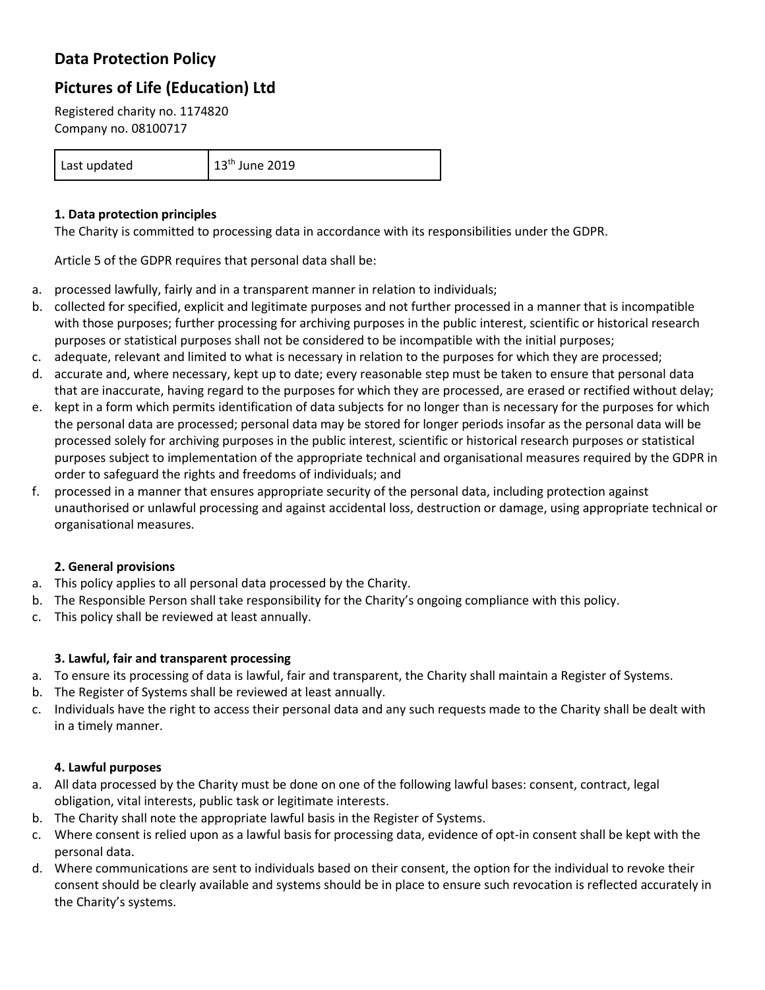# **Data Protection Policy**

# **Pictures of Life (Education) Ltd**

Registered charity no. 1174820 Company no. 08100717

Last updated 13<sup>th</sup> June 2019

# **1. Data protection principles**

The Charity is committed to processing data in accordance with its responsibilities under the GDPR.

Article 5 of the GDPR requires that personal data shall be:

- a. processed lawfully, fairly and in a transparent manner in relation to individuals;
- b. collected for specified, explicit and legitimate purposes and not further processed in a manner that is incompatible with those purposes; further processing for archiving purposes in the public interest, scientific or historical research purposes or statistical purposes shall not be considered to be incompatible with the initial purposes;
- c. adequate, relevant and limited to what is necessary in relation to the purposes for which they are processed;
- d. accurate and, where necessary, kept up to date; every reasonable step must be taken to ensure that personal data that are inaccurate, having regard to the purposes for which they are processed, are erased or rectified without delay;
- e. kept in a form which permits identification of data subjects for no longer than is necessary for the purposes for which the personal data are processed; personal data may be stored for longer periods insofar as the personal data will be processed solely for archiving purposes in the public interest, scientific or historical research purposes or statistical purposes subject to implementation of the appropriate technical and organisational measures required by the GDPR in order to safeguard the rights and freedoms of individuals; and
- f. processed in a manner that ensures appropriate security of the personal data, including protection against unauthorised or unlawful processing and against accidental loss, destruction or damage, using appropriate technical or organisational measures.

# **2. General provisions**

- a. This policy applies to all personal data processed by the Charity.
- b. The Responsible Person shall take responsibility for the Charity's ongoing compliance with this policy.
- c. This policy shall be reviewed at least annually.

# **3. Lawful, fair and transparent processing**

- a. To ensure its processing of data is lawful, fair and transparent, the Charity shall maintain a Register of Systems.
- b. The Register of Systems shall be reviewed at least annually.
- c. Individuals have the right to access their personal data and any such requests made to the Charity shall be dealt with in a timely manner.

#### **4. Lawful purposes**

- a. All data processed by the Charity must be done on one of the following lawful bases: consent, contract, legal obligation, vital interests, public task or legitimate interests.
- b. The Charity shall note the appropriate lawful basis in the Register of Systems.
- c. Where consent is relied upon as a lawful basis for processing data, evidence of opt-in consent shall be kept with the personal data.
- d. Where communications are sent to individuals based on their consent, the option for the individual to revoke their consent should be clearly available and systems should be in place to ensure such revocation is reflected accurately in the Charity's systems.